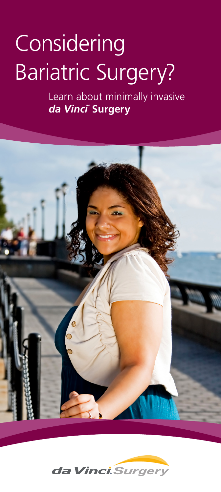# **Considering** Bariatric Surgery?

Learn about minimally invasive *da Vinci* **® Surgery**



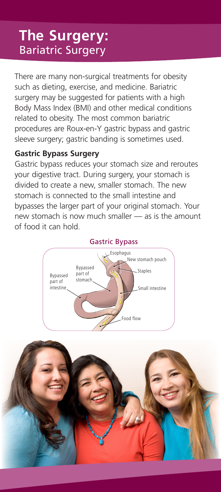### **The Surgery:** Bariatric Surgery

There are many non-surgical treatments for obesity such as dieting, exercise, and medicine. Bariatric surgery may be suggested for patients with a high Body Mass Index (BMI) and other medical conditions related to obesity. The most common bariatric procedures are Roux-en-Y gastric bypass and gastric sleeve surgery; gastric banding is sometimes used.

### **Gastric Bypass Surgery**

Gastric bypass reduces your stomach size and reroutes your digestive tract. During surgery, your stomach is divided to create a new, smaller stomach. The new stomach is connected to the small intestine and bypasses the larger part of your original stomach. Your new stomach is now much smaller — as is the amount of food it can hold.



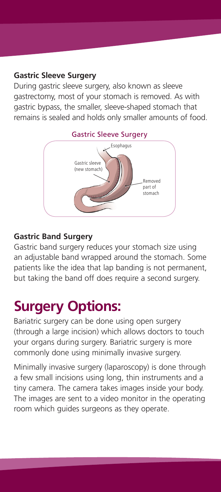#### **Gastric Sleeve Surgery**

During gastric sleeve surgery, also known as sleeve gastrectomy, most of your stomach is removed. As with gastric bypass, the smaller, sleeve-shaped stomach that remains is sealed and holds only smaller amounts of food.



### **Gastric Band Surgery**

Gastric band surgery reduces your stomach size using an adjustable band wrapped around the stomach. Some patients like the idea that lap banding is not permanent, but taking the band off does require a second surgery.

## **Surgery Options:**

Bariatric surgery can be done using open surgery (through a large incision) which allows doctors to touch your organs during surgery. Bariatric surgery is more commonly done using minimally invasive surgery.

Minimally invasive surgery (laparoscopy) is done through a few small incisions using long, thin instruments and a tiny camera. The camera takes images inside your body. The images are sent to a video monitor in the operating room which guides surgeons as they operate.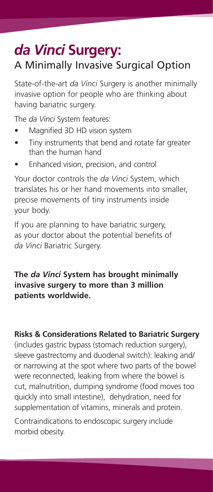### *da Vinci* **Surgery:** A Minimally Invasive Surgical Option

State-of-the-art *da Vinci* Surgery is another minimally invasive option for people who are thinking about having bariatric surgery.

The *da Vinci* System features:

- Magnified 3D HD vision system
- Tiny instruments that bend and rotate far greater than the human hand
- Enhanced vision, precision, and control

Your doctor controls the *da Vinci* System, which translates his or her hand movements into smaller, precise movements of tiny instruments inside your body.

If you are planning to have bariatric surgery, as your doctor about the potential benefits of *da Vinci* Bariatric Surgery.

### **The** *da Vinci* **System has brought minimally invasive surgery to more than 3 million patients worldwide.**

**Risks & Considerations Related to Bariatric Surgery**

(includes gastric bypass (stomach reduction surgery), sleeve gastrectomy and duodenal switch): leaking and/ or narrowing at the spot where two parts of the bowel were reconnected, leaking from where the bowel is cut, malnutrition, dumping syndrome (food moves too quickly into small intestine), dehydration, need for supplementation of vitamins, minerals and protein.

Contraindications to endoscopic surgery include morbid obesity.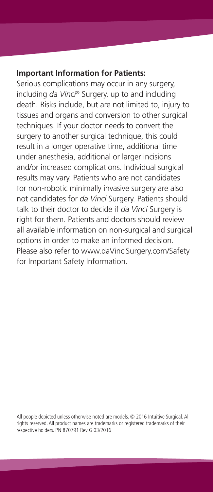#### **Important Information for Patients:**

Serious complications may occur in any surgery, including *da Vinci*® Surgery, up to and including death. Risks include, but are not limited to, injury to tissues and organs and conversion to other surgical techniques. If your doctor needs to convert the surgery to another surgical technique, this could result in a longer operative time, additional time under anesthesia, additional or larger incisions and/or increased complications. Individual surgical results may vary. Patients who are not candidates for non-robotic minimally invasive surgery are also not candidates for *da Vinci* Surgery. Patients should talk to their doctor to decide if *da Vinci* Surgery is right for them. Patients and doctors should review all available information on non-surgical and surgical options in order to make an informed decision. Please also refer to www.daVinciSurgery.com/Safety for Important Safety Information.

All people depicted unless otherwise noted are models. © 2016 Intuitive Surgical. All rights reserved. All product names are trademarks or registered trademarks of their respective holders. PN 870791 Rev G 03/2016